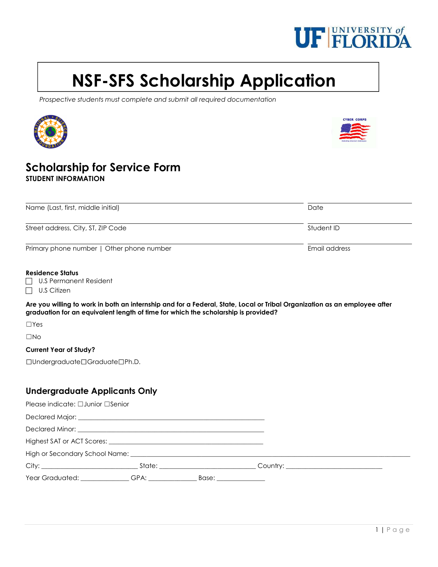

# NSF-SFS Scholarship Application

Prospective students must complete and submit all required documentation





## Scholarship for Service Form STUDENT INFORMATION

| Name (Last, first, middle initial)        | Date          |  |
|-------------------------------------------|---------------|--|
| Street address, City, ST, ZIP Code        | Student ID    |  |
| Primary phone number   Other phone number | Email address |  |

#### Residence Status

|  | U.S Permanent Resident |
|--|------------------------|
|--|------------------------|

 $\Box$  U.S Citizen

Are you willing to work in both an internship and for a Federal, State, Local or Tribal Organization as an employee after graduation for an equivalent length of time for which the scholarship is provided?

☐Yes

☐No

#### Current Year of Study?

☐Undergraduate☐Graduate☐Ph.D.

### Undergraduate Applicants Only

| Please indicate: $\Box$ Junior $\Box$ Senior |  |  |
|----------------------------------------------|--|--|
|                                              |  |  |
|                                              |  |  |
|                                              |  |  |
|                                              |  |  |
|                                              |  |  |
|                                              |  |  |